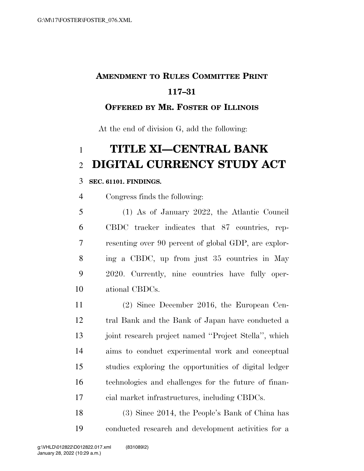## **AMENDMENT TO RULES COMMITTEE PRINT 117–31**

### **OFFERED BY MR. FOSTER OF ILLINOIS**

At the end of division G, add the following:

# **TITLE XI—CENTRAL BANK DIGITAL CURRENCY STUDY ACT**

#### **SEC. 61101. FINDINGS.**

Congress finds the following:

 (1) As of January 2022, the Atlantic Council CBDC tracker indicates that 87 countries, rep- resenting over 90 percent of global GDP, are explor- ing a CBDC, up from just 35 countries in May 2020. Currently, nine countries have fully oper-ational CBDCs.

 (2) Since December 2016, the European Cen- tral Bank and the Bank of Japan have conducted a 13 joint research project named "Project Stella", which aims to conduct experimental work and conceptual studies exploring the opportunities of digital ledger technologies and challenges for the future of finan-cial market infrastructures, including CBDCs.

 (3) Since 2014, the People's Bank of China has conducted research and development activities for a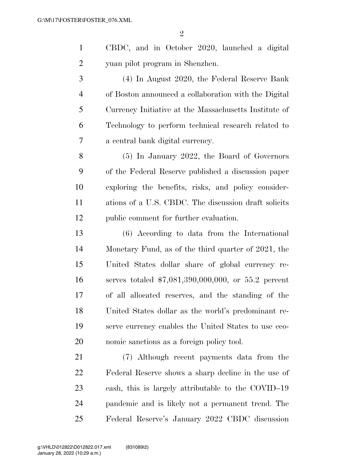- CBDC, and in October 2020, launched a digital yuan pilot program in Shenzhen.
- (4) In August 2020, the Federal Reserve Bank of Boston announced a collaboration with the Digital Currency Initiative at the Massachusetts Institute of Technology to perform technical research related to a central bank digital currency.
- (5) In January 2022, the Board of Governors of the Federal Reserve published a discussion paper exploring the benefits, risks, and policy consider- ations of a U.S. CBDC. The discussion draft solicits public comment for further evaluation.
- (6) According to data from the International Monetary Fund, as of the third quarter of 2021, the United States dollar share of global currency re- serves totaled \$7,081,390,000,000, or 55.2 percent of all allocated reserves, and the standing of the United States dollar as the world's predominant re- serve currency enables the United States to use eco-nomic sanctions as a foreign policy tool.
- (7) Although recent payments data from the Federal Reserve shows a sharp decline in the use of cash, this is largely attributable to the COVID–19 pandemic and is likely not a permanent trend. The Federal Reserve's January 2022 CBDC discussion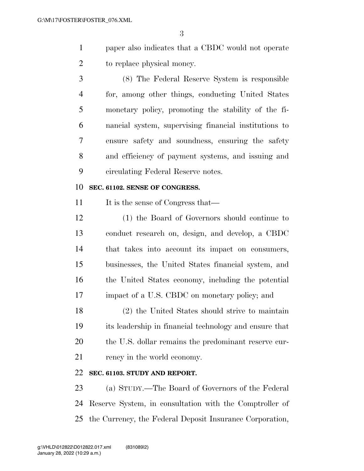paper also indicates that a CBDC would not operate to replace physical money.

 (8) The Federal Reserve System is responsible for, among other things, conducting United States monetary policy, promoting the stability of the fi- nancial system, supervising financial institutions to ensure safety and soundness, ensuring the safety and efficiency of payment systems, and issuing and circulating Federal Reserve notes.

#### **SEC. 61102. SENSE OF CONGRESS.**

11 It is the sense of Congress that—

 (1) the Board of Governors should continue to conduct research on, design, and develop, a CBDC that takes into account its impact on consumers, businesses, the United States financial system, and the United States economy, including the potential impact of a U.S. CBDC on monetary policy; and

 (2) the United States should strive to maintain its leadership in financial technology and ensure that 20 the U.S. dollar remains the predominant reserve cur-rency in the world economy.

#### **SEC. 61103. STUDY AND REPORT.**

 (a) STUDY.—The Board of Governors of the Federal Reserve System, in consultation with the Comptroller of the Currency, the Federal Deposit Insurance Corporation,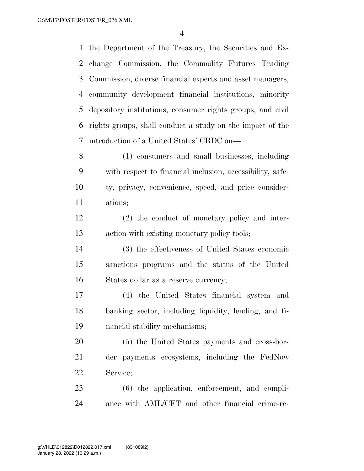the Department of the Treasury, the Securities and Ex- change Commission, the Commodity Futures Trading Commission, diverse financial experts and asset managers, community development financial institutions, minority depository institutions, consumer rights groups, and civil rights groups, shall conduct a study on the impact of the introduction of a United States' CBDC on—

 (1) consumers and small businesses, including with respect to financial inclusion, accessibility, safe- ty, privacy, convenience, speed, and price consider-ations;

 (2) the conduct of monetary policy and inter-action with existing monetary policy tools;

 (3) the effectiveness of United States economic sanctions programs and the status of the United States dollar as a reserve currency;

 (4) the United States financial system and banking sector, including liquidity, lending, and fi-nancial stability mechanisms;

 (5) the United States payments and cross-bor- der payments ecosystems, including the FedNow Service;

 (6) the application, enforcement, and compli-ance with AML/CFT and other financial crime-re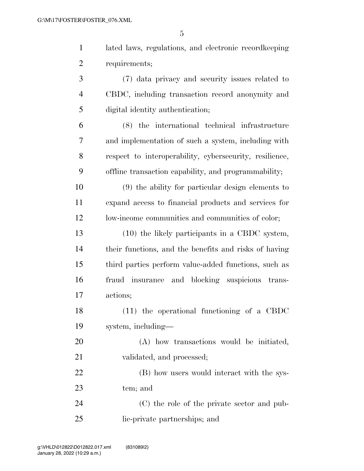$\overline{a}$ 

|                | G                                                       |
|----------------|---------------------------------------------------------|
| $\mathbf{1}$   | lated laws, regulations, and electronic record keeping  |
| $\overline{2}$ | requirements;                                           |
| 3              | (7) data privacy and security issues related to         |
| $\overline{4}$ | CBDC, including transaction record anonymity and        |
| 5              | digital identity authentication;                        |
| 6              | (8) the international technical infrastructure          |
| 7              | and implementation of such a system, including with     |
| 8              | respect to interoperability, cybersecurity, resilience, |
| 9              | offline transaction capability, and programmability;    |
| 10             | (9) the ability for particular design elements to       |
| 11             | expand access to financial products and services for    |
| 12             | low-income communities and communities of color;        |
| 13             | (10) the likely participants in a CBDC system,          |
| 14             | their functions, and the benefits and risks of having   |
| 15             | third parties perform value-added functions, such as    |
| 16             | fraud insurance<br>and blocking suspicious trans-       |
| 17             | actions;                                                |
| 18             | $(11)$ the operational functioning of a CBDC            |
| 19             | system, including-                                      |

 (A) how transactions would be initiated, validated, and processed;

22 (B) how users would interact with the sys-tem; and

 (C) the role of the private sector and pub-lic-private partnerships; and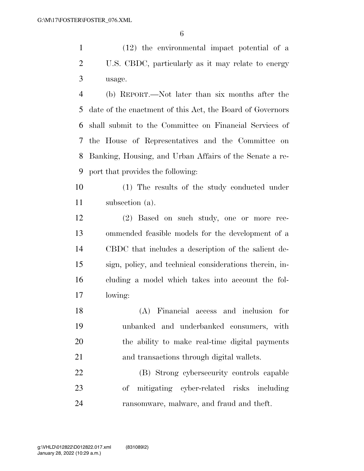(12) the environmental impact potential of a U.S. CBDC, particularly as it may relate to energy usage.

 (b) REPORT.—Not later than six months after the date of the enactment of this Act, the Board of Governors shall submit to the Committee on Financial Services of the House of Representatives and the Committee on Banking, Housing, and Urban Affairs of the Senate a re-port that provides the following:

 (1) The results of the study conducted under subsection (a).

 (2) Based on such study, one or more rec- ommended feasible models for the development of a CBDC that includes a description of the salient de- sign, policy, and technical considerations therein, in- cluding a model which takes into account the fol-lowing:

 (A) Financial access and inclusion for unbanked and underbanked consumers, with the ability to make real-time digital payments and transactions through digital wallets.

 (B) Strong cybersecurity controls capable of mitigating cyber-related risks including ransomware, malware, and fraud and theft.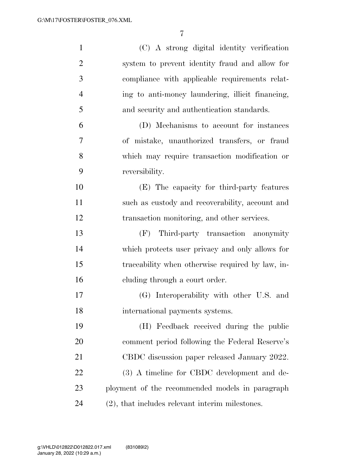| $\mathbf{1}$   | (C) A strong digital identity verification         |
|----------------|----------------------------------------------------|
| $\overline{2}$ | system to prevent identity fraud and allow for     |
| 3              | compliance with applicable requirements relat-     |
| $\overline{4}$ | ing to anti-money laundering, illicit financing,   |
| 5              | and security and authentication standards.         |
| 6              | (D) Mechanisms to account for instances            |
| 7              | of mistake, unauthorized transfers, or fraud       |
| 8              | which may require transaction modification or      |
| 9              | reversibility.                                     |
| 10             | (E) The capacity for third-party features          |
| 11             | such as custody and recoverability, account and    |
| 12             | transaction monitoring, and other services.        |
| 13             | (F) Third-party transaction anonymity              |
| 14             | which protects user privacy and only allows for    |
| 15             | traceability when otherwise required by law, in-   |
| 16             | cluding through a court order.                     |
| 17             | (G) Interoperability with other U.S. and           |
| 18             | international payments systems.                    |
| 19             | (H) Feedback received during the public            |
| 20             | comment period following the Federal Reserve's     |
| 21             | CBDC discussion paper released January 2022.       |
| 22             | (3) A timeline for CBDC development and de-        |
| 23             | ployment of the recommended models in paragraph    |
| 24             | $(2)$ , that includes relevant interim milestones. |